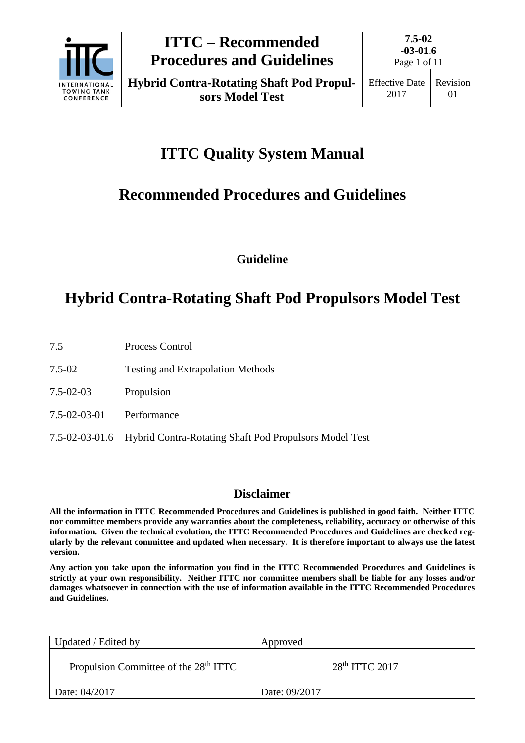

# **ITTC Quality System Manual**

# **Recommended Procedures and Guidelines**

**Guideline**

# **Hybrid Contra-Rotating Shaft Pod Propulsors Model Test**

- 7.5 Process Control
- 7.5-02 Testing and Extrapolation Methods
- 7.5-02-03 Propulsion
- 7.5-02-03-01 Performance
- 7.5-02-03-01.6 Hybrid Contra-Rotating Shaft Pod Propulsors Model Test

# **Disclaimer**

**All the information in ITTC Recommended Procedures and Guidelines is published in good faith. Neither ITTC nor committee members provide any warranties about the completeness, reliability, accuracy or otherwise of this information. Given the technical evolution, the ITTC Recommended Procedures and Guidelines are checked regularly by the relevant committee and updated when necessary. It is therefore important to always use the latest version.**

**Any action you take upon the information you find in the ITTC Recommended Procedures and Guidelines is strictly at your own responsibility. Neither ITTC nor committee members shall be liable for any losses and/or damages whatsoever in connection with the use of information available in the ITTC Recommended Procedures and Guidelines.**

| Updated / Edited by                               | Approved         |
|---------------------------------------------------|------------------|
| Propulsion Committee of the 28 <sup>th</sup> ITTC | $28th$ ITTC 2017 |
| Date: 04/2017                                     | Date: 09/2017    |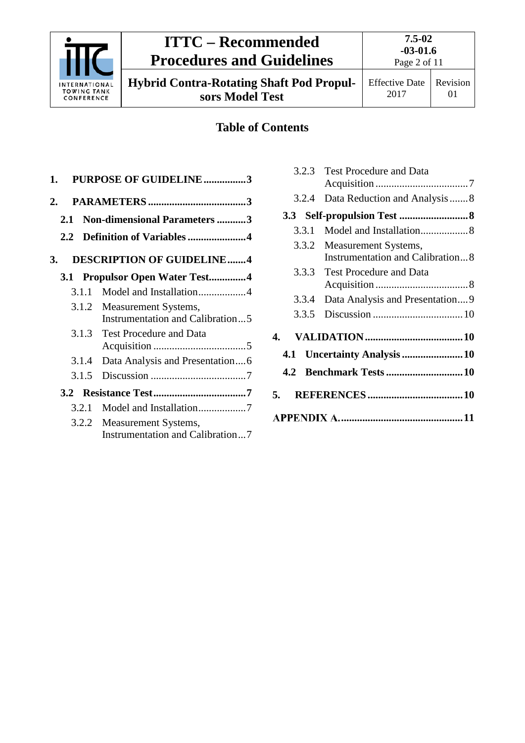

# **ITTC – Recommended Procedures and Guidelines**

**7.5-02 -03-01.6** Page 2 of 11

**Hybrid Contra-Rotating Shaft Pod Propulsors Model Test**

Effective Date 2017

# **Table of Contents**

| 1.            | <b>PURPOSE OF GUIDELINE3</b>                             |
|---------------|----------------------------------------------------------|
| 2.            |                                                          |
| 2.1           | <b>Non-dimensional Parameters 3</b>                      |
| $2.2^{\circ}$ | Definition of Variables4                                 |
| 3.            | <b>DESCRIPTION OF GUIDELINE4</b>                         |
|               | 3.1 Propulsor Open Water Test4                           |
| 3.1.1         | Model and Installation4                                  |
| 3.1.2         | Measurement Systems,<br>Instrumentation and Calibration5 |
|               | 3.1.3 Test Procedure and Data                            |
| 3.1.4         | Data Analysis and Presentation6                          |
| 3.1.5         |                                                          |
|               |                                                          |
| 3.2.1         | Model and Installation7                                  |
| 3.2.2         | Measurement Systems,<br>Instrumentation and Calibration7 |

| 3.2.3                       | <b>Test Procedure and Data</b>          |  |  |  |
|-----------------------------|-----------------------------------------|--|--|--|
|                             |                                         |  |  |  |
| 3.2.4                       | Data Reduction and Analysis  8          |  |  |  |
|                             |                                         |  |  |  |
| 3.3.1                       | Model and Installation 8                |  |  |  |
| 3.3.2                       | Measurement Systems,                    |  |  |  |
|                             | <b>Instrumentation and Calibration8</b> |  |  |  |
| 3.3.3                       | <b>Test Procedure and Data</b>          |  |  |  |
|                             |                                         |  |  |  |
| 3.3.4                       | Data Analysis and Presentation9         |  |  |  |
| 3.3.5                       |                                         |  |  |  |
| $\mathbf 4$                 |                                         |  |  |  |
| 4.1 Uncertainty Analysis 10 |                                         |  |  |  |
|                             |                                         |  |  |  |
| 5.                          |                                         |  |  |  |
|                             |                                         |  |  |  |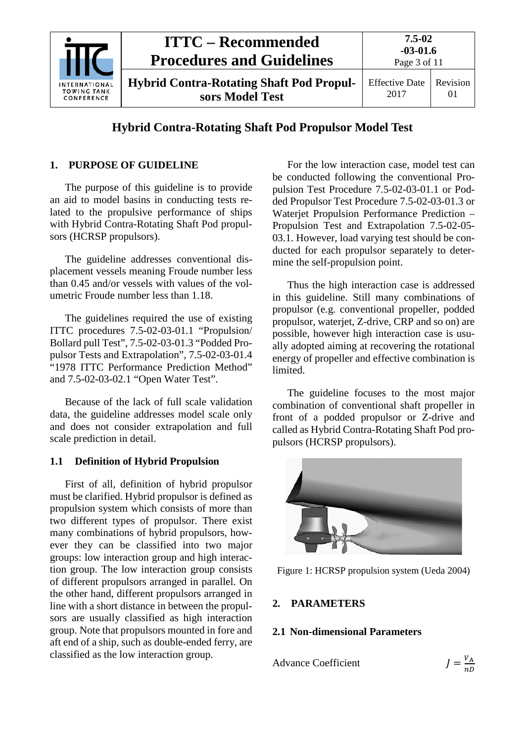

# **Hybrid Contra-Rotating Shaft Pod Propulsor Model Test**

### <span id="page-2-0"></span>**1. PURPOSE OF GUIDELINE**

The purpose of this guideline is to provide an aid to model basins in conducting tests related to the propulsive performance of ships with Hybrid Contra-Rotating Shaft Pod propulsors (HCRSP propulsors).

The guideline addresses conventional displacement vessels meaning Froude number less than 0.45 and/or vessels with values of the volumetric Froude number less than 1.18.

The guidelines required the use of existing ITTC procedures 7.5-02-03-01.1 "Propulsion/ Bollard pull Test", 7.5-02-03-01.3 "Podded Propulsor Tests and Extrapolation", 7.5-02-03-01.4 "1978 ITTC Performance Prediction Method" and 7.5-02-03-02.1 "Open Water Test".

Because of the lack of full scale validation data, the guideline addresses model scale only and does not consider extrapolation and full scale prediction in detail.

### **1.1 Definition of Hybrid Propulsion**

First of all, definition of hybrid propulsor must be clarified. Hybrid propulsor is defined as propulsion system which consists of more than two different types of propulsor. There exist many combinations of hybrid propulsors, however they can be classified into two major groups: low interaction group and high interaction group. The low interaction group consists of different propulsors arranged in parallel. On the other hand, different propulsors arranged in line with a short distance in between the propulsors are usually classified as high interaction group. Note that propulsors mounted in fore and aft end of a ship, such as double-ended ferry, are classified as the low interaction group.

For the low interaction case, model test can be conducted following the conventional Propulsion Test Procedure 7.5-02-03-01.1 or Podded Propulsor Test Procedure 7.5-02-03-01.3 or Waterjet Propulsion Performance Prediction – Propulsion Test and Extrapolation 7.5-02-05- 03.1. However, load varying test should be conducted for each propulsor separately to determine the self-propulsion point.

Thus the high interaction case is addressed in this guideline. Still many combinations of propulsor (e.g. conventional propeller, podded propulsor, waterjet, Z-drive, CRP and so on) are possible, however high interaction case is usually adopted aiming at recovering the rotational energy of propeller and effective combination is limited.

The guideline focuses to the most major combination of conventional shaft propeller in front of a podded propulsor or Z-drive and called as Hybrid Contra-Rotating Shaft Pod propulsors (HCRSP propulsors).



Figure 1: HCRSP propulsion system (Ueda 2004)

#### <span id="page-2-2"></span><span id="page-2-1"></span>**2. PARAMETERS**

#### **2.1 Non-dimensional Parameters**

Advance Coefficient

$$
J=\frac{V_{\rm A}}{nD}
$$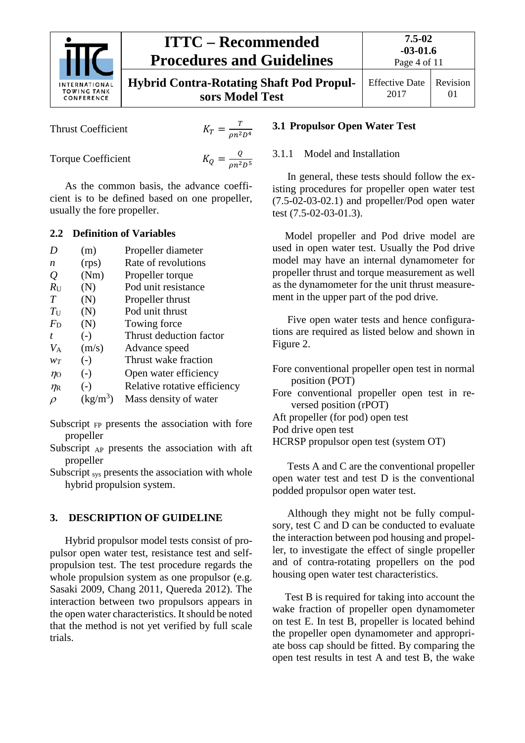

# **ITTC – Recommended Procedures and Guidelines**

Effective Date 2017 Revision 01

Thrust Coefficient <sup>=</sup>

$$
K_T = \frac{T}{\rho n^2 D^4}
$$

Torque Coefficient

$$
K_Q = \frac{Q}{\rho n^2 D^5}
$$

As the common basis, the advance coefficient is to be defined based on one propeller, usually the fore propeller.

### <span id="page-3-0"></span>**2.2 Definition of Variables**

| D              | (m)        | Propeller diameter           |
|----------------|------------|------------------------------|
| n              | (rps)      | Rate of revolutions          |
| Q              | (Nm)       | Propeller torque             |
| $R_{\rm U}$    | (N)        | Pod unit resistance          |
| T              | (N)        | Propeller thrust             |
| $T_{\rm U}$    | (N)        | Pod unit thrust              |
| $F_{\rm D}$    | (N)        | Towing force                 |
| t.             | $(-)$      | Thrust deduction factor      |
| $V_A$          | (m/s)      | Advance speed                |
| $W_T$          | $(-)$      | Thrust wake fraction         |
| $\eta_0$       | $(-)$      | Open water efficiency        |
| $\eta_{\rm R}$ | $(-)$      | Relative rotative efficiency |
| $\mathcal{D}$  | $(kg/m^3)$ | Mass density of water        |

Subscript  $F<sub>P</sub>$  presents the association with fore propeller

- Subscript AP presents the association with aft propeller
- Subscript sys presents the association with whole hybrid propulsion system.

# <span id="page-3-1"></span>**3. DESCRIPTION OF GUIDELINE**

Hybrid propulsor model tests consist of propulsor open water test, resistance test and selfpropulsion test. The test procedure regards the whole propulsion system as one propulsor (e.g. Sasaki 2009, Chang 2011, Quereda 2012). The interaction between two propulsors appears in the open water characteristics. It should be noted that the method is not yet verified by full scale trials.

### <span id="page-3-3"></span><span id="page-3-2"></span>**3.1 Propulsor Open Water Test**

#### 3.1.1 Model and Installation

In general, these tests should follow the existing procedures for propeller open water test (7.5-02-03-02.1) and propeller/Pod open water test (7.5-02-03-01.3).

Model propeller and Pod drive model are used in open water test. Usually the Pod drive model may have an internal dynamometer for propeller thrust and torque measurement as well as the dynamometer for the unit thrust measurement in the upper part of the pod drive.

Five open water tests and hence configurations are required as listed below and shown in Figure 2.

Fore conventional propeller open test in normal position (POT) Fore conventional propeller open test in reversed position (rPOT) Aft propeller (for pod) open test Pod drive open test HCRSP propulsor open test (system OT)

Tests A and C are the conventional propeller open water test and test D is the conventional podded propulsor open water test.

Although they might not be fully compulsory, test C and D can be conducted to evaluate the interaction between pod housing and propeller, to investigate the effect of single propeller and of contra-rotating propellers on the pod housing open water test characteristics.

Test B is required for taking into account the wake fraction of propeller open dynamometer on test E. In test B, propeller is located behind the propeller open dynamometer and appropriate boss cap should be fitted. By comparing the open test results in test A and test B, the wake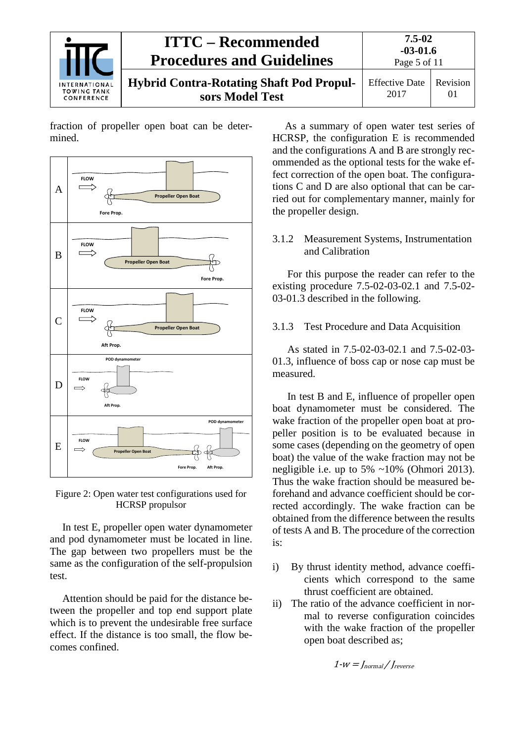

fraction of propeller open boat can be determined.



Figure 2: Open water test configurations used for HCRSP propulsor

In test E, propeller open water dynamometer and pod dynamometer must be located in line. The gap between two propellers must be the same as the configuration of the self-propulsion test.

Attention should be paid for the distance between the propeller and top end support plate which is to prevent the undesirable free surface effect. If the distance is too small, the flow becomes confined.

As a summary of open water test series of HCRSP, the configuration E is recommended and the configurations A and B are strongly recommended as the optional tests for the wake effect correction of the open boat. The configurations C and D are also optional that can be carried out for complementary manner, mainly for the propeller design.

#### <span id="page-4-0"></span>3.1.2 Measurement Systems, Instrumentation and Calibration

For this purpose the reader can refer to the existing procedure 7.5-02-03-02.1 and 7.5-02- 03-01.3 described in the following.

#### <span id="page-4-1"></span>3.1.3 Test Procedure and Data Acquisition

As stated in 7.5-02-03-02.1 and 7.5-02-03- 01.3, influence of boss cap or nose cap must be measured.

In test B and E, influence of propeller open boat dynamometer must be considered. The wake fraction of the propeller open boat at propeller position is to be evaluated because in some cases (depending on the geometry of open boat) the value of the wake fraction may not be negligible i.e. up to 5%  $\sim$ 10% (Ohmori 2013). Thus the wake fraction should be measured beforehand and advance coefficient should be corrected accordingly. The wake fraction can be obtained from the difference between the results of tests A and B. The procedure of the correction is:

- i) By thrust identity method, advance coefficients which correspond to the same thrust coefficient are obtained.
- ii) The ratio of the advance coefficient in normal to reverse configuration coincides with the wake fraction of the propeller open boat described as;

 $1-W = \int_{normal}/\int_{reverse}$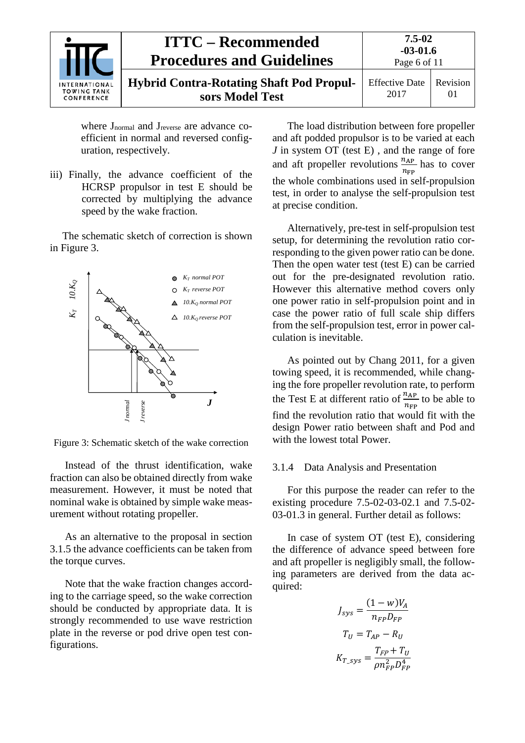| <b>INTERNATIONAL</b><br><b>TOWING TANK</b><br>CONFERENCE | <b>ITTC – Recommended</b><br><b>Procedures and Guidelines</b>      | 7.5-02<br>$-03-01.6$<br>Page 6 of 11 |          |
|----------------------------------------------------------|--------------------------------------------------------------------|--------------------------------------|----------|
|                                                          | <b>Hybrid Contra-Rotating Shaft Pod Propul-</b><br>sors Model Test | <b>Effective Date</b><br>2017        | Revision |

where  $J_{normal}$  and  $J_{reverse}$  are advance coefficient in normal and reversed configuration, respectively.

iii) Finally, the advance coefficient of the HCRSP propulsor in test E should be corrected by multiplying the advance speed by the wake fraction.

The schematic sketch of correction is shown in Figure 3.



Figure 3: Schematic sketch of the wake correction

Instead of the thrust identification, wake fraction can also be obtained directly from wake measurement. However, it must be noted that nominal wake is obtained by simple wake measurement without rotating propeller.

As an alternative to the proposal in section 3.1.5 the advance coefficients can be taken from the torque curves.

Note that the wake fraction changes according to the carriage speed, so the wake correction should be conducted by appropriate data. It is strongly recommended to use wave restriction plate in the reverse or pod drive open test configurations.

The load distribution between fore propeller and aft podded propulsor is to be varied at each *J* in system OT (test E), and the range of fore and aft propeller revolutions  $\frac{n_{AP}}{n}$  $n_{\rm FP}$ has to cover the whole combinations used in self-propulsion test, in order to analyse the self-propulsion test at precise condition.

Alternatively, pre-test in self-propulsion test setup, for determining the revolution ratio corresponding to the given power ratio can be done. Then the open water test (test E) can be carried out for the pre-designated revolution ratio. However this alternative method covers only one power ratio in self-propulsion point and in case the power ratio of full scale ship differs from the self-propulsion test, error in power calculation is inevitable.

As pointed out by Chang 2011, for a given towing speed, it is recommended, while changing the fore propeller revolution rate, to perform the Test E at different ratio of  $\frac{n_{AP}}{n}$  $n_{\rm FP}$ to be able to find the revolution ratio that would fit with the design Power ratio between shaft and Pod and with the lowest total Power.

### <span id="page-5-0"></span>3.1.4 Data Analysis and Presentation

For this purpose the reader can refer to the existing procedure 7.5-02-03-02.1 and 7.5-02- 03-01.3 in general. Further detail as follows:

In case of system OT (test E), considering the difference of advance speed between fore and aft propeller is negligibly small, the following parameters are derived from the data acquired:

$$
J_{sys} = \frac{(1 - w)V_A}{n_{FP}D_{FP}}
$$

$$
T_U = T_{AP} - R_U
$$

$$
K_{T_ssys} = \frac{T_{FP} + T_U}{\rho n_{FP}^2 D_{FP}^4}
$$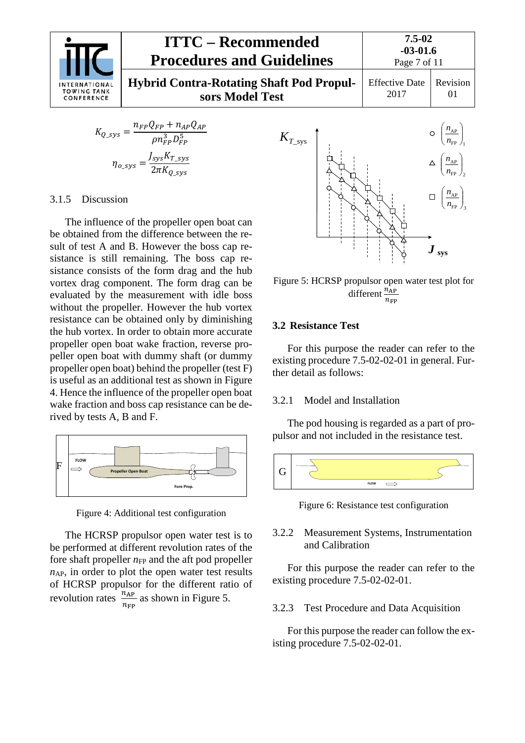

$$
K_{Q\_sys} = \frac{n_{FP}Q_{FP} + n_{AP}Q_{AP}}{\rho n_{FP}^3 D_{FP}^5}
$$

$$
\eta_{o\_sys} = \frac{J_{sys}K_{T\_sys}}{2\pi K_{O_{sys}}}
$$

#### <span id="page-6-0"></span>3.1.5 Discussion

The influence of the propeller open boat can be obtained from the difference between the result of test A and B. However the boss cap resistance is still remaining. The boss cap resistance consists of the form drag and the hub vortex drag component. The form drag can be evaluated by the measurement with idle boss without the propeller. However the hub vortex resistance can be obtained only by diminishing the hub vortex. In order to obtain more accurate propeller open boat wake fraction, reverse propeller open boat with dummy shaft (or dummy propeller open boat) behind the propeller (test F) is useful as an additional test as shown in Figure 4. Hence the influence of the propeller open boat wake fraction and boss cap resistance can be derived by tests A, B and F.



Figure 4: Additional test configuration

The HCRSP propulsor open water test is to be performed at different revolution rates of the fore shaft propeller  $n<sub>FP</sub>$  and the aft pod propeller  $n_{AP}$ , in order to plot the open water test results of HCRSP propulsor for the different ratio of revolution rates  $\frac{n_{AP}}{n}$  $n_{\rm FP}$ as shown in Figure 5.



Figure 5: HCRSP propulsor open water test plot for different  $\frac{n_{AP}}{n_{FP}}$ 

#### <span id="page-6-1"></span>**3.2 Resistance Test**

For this purpose the reader can refer to the existing procedure 7.5-02-02-01 in general. Further detail as follows:

#### <span id="page-6-2"></span>3.2.1 Model and Installation

The pod housing is regarded as a part of propulsor and not included in the resistance test.



Figure 6: Resistance test configuration

#### <span id="page-6-3"></span>3.2.2 Measurement Systems, Instrumentation and Calibration

For this purpose the reader can refer to the existing procedure 7.5-02-02-01.

#### <span id="page-6-4"></span>3.2.3 Test Procedure and Data Acquisition

For this purpose the reader can follow the existing procedure 7.5-02-02-01.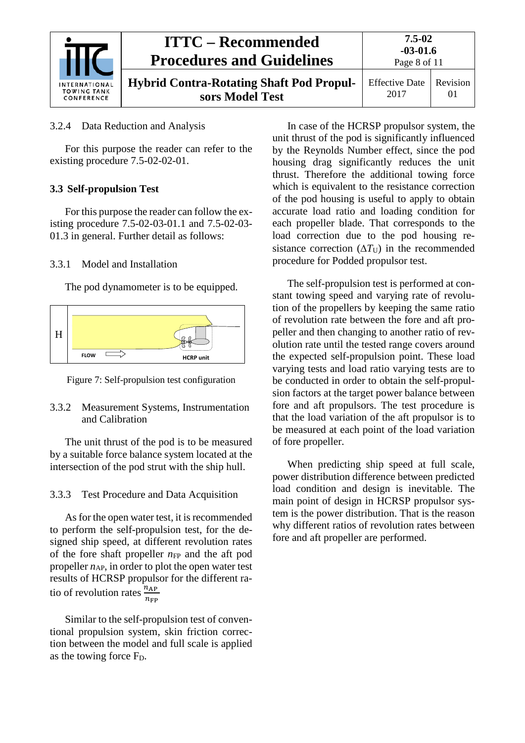

#### **ITTC – Recommended Procedures and Guidelines 7.5-02 -03-01.6** Page 8 of 11 **Hybrid Contra-Rotating Shaft Pod Propulsors Model Test** Effective Date 2017 Revision 01

### <span id="page-7-0"></span>3.2.4 Data Reduction and Analysis

For this purpose the reader can refer to the existing procedure 7.5-02-02-01.

### <span id="page-7-1"></span>**3.3 Self-propulsion Test**

For this purpose the reader can follow the existing procedure 7.5-02-03-01.1 and 7.5-02-03- 01.3 in general. Further detail as follows:

#### <span id="page-7-2"></span>3.3.1 Model and Installation

The pod dynamometer is to be equipped.





#### <span id="page-7-3"></span>3.3.2 Measurement Systems, Instrumentation and Calibration

The unit thrust of the pod is to be measured by a suitable force balance system located at the intersection of the pod strut with the ship hull.

### <span id="page-7-4"></span>3.3.3 Test Procedure and Data Acquisition

As for the open water test, it is recommended to perform the self-propulsion test, for the designed ship speed, at different revolution rates of the fore shaft propeller  $n<sub>FP</sub>$  and the aft pod propeller  $n_{AP}$ , in order to plot the open water test results of HCRSP propulsor for the different ratio of revolution rates  $\frac{n_{AP}}{n}$  $n_{\rm FP}$ 

Similar to the self-propulsion test of conventional propulsion system, skin friction correction between the model and full scale is applied as the towing force  $F<sub>D</sub>$ .

In case of the HCRSP propulsor system, the unit thrust of the pod is significantly influenced by the Reynolds Number effect, since the pod housing drag significantly reduces the unit thrust. Therefore the additional towing force which is equivalent to the resistance correction of the pod housing is useful to apply to obtain accurate load ratio and loading condition for each propeller blade. That corresponds to the load correction due to the pod housing resistance correction  $(\Delta T_U)$  in the recommended procedure for Podded propulsor test.

The self-propulsion test is performed at constant towing speed and varying rate of revolution of the propellers by keeping the same ratio of revolution rate between the fore and aft propeller and then changing to another ratio of revolution rate until the tested range covers around the expected self-propulsion point. These load varying tests and load ratio varying tests are to be conducted in order to obtain the self-propulsion factors at the target power balance between fore and aft propulsors. The test procedure is that the load variation of the aft propulsor is to be measured at each point of the load variation of fore propeller.

When predicting ship speed at full scale, power distribution difference between predicted load condition and design is inevitable. The main point of design in HCRSP propulsor system is the power distribution. That is the reason why different ratios of revolution rates between fore and aft propeller are performed.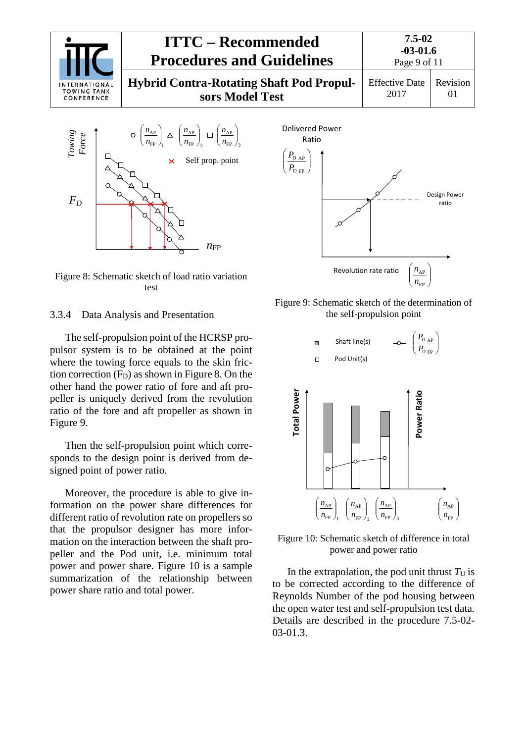

I I  $\backslash$ ſ



Figure 8: Schematic sketch of load ratio variation test

#### <span id="page-8-0"></span>3.3.4 Data Analysis and Presentation

The self-propulsion point of the HCRSP propulsor system is to be obtained at the point where the towing force equals to the skin friction correction  $(F_D)$  as shown in Figure 8. On the other hand the power ratio of fore and aft propeller is uniquely derived from the revolution ratio of the fore and aft propeller as shown in Figure 9.

Then the self-propulsion point which corresponds to the design point is derived from designed point of power ratio.

Moreover, the procedure is able to give information on the power share differences for different ratio of revolution rate on propellers so that the propulsor designer has more information on the interaction between the shaft propeller and the Pod unit, i.e. minimum total power and power share. Figure 10 is a sample summarization of the relationship between power share ratio and total power.



Figure 9: Schematic sketch of the determination of the self-propulsion point



Figure 10: Schematic sketch of difference in total power and power ratio

In the extrapolation, the pod unit thrust  $T_U$  is to be corrected according to the difference of Reynolds Number of the pod housing between the open water test and self-propulsion test data. Details are described in the procedure 7.5-02- 03-01.3.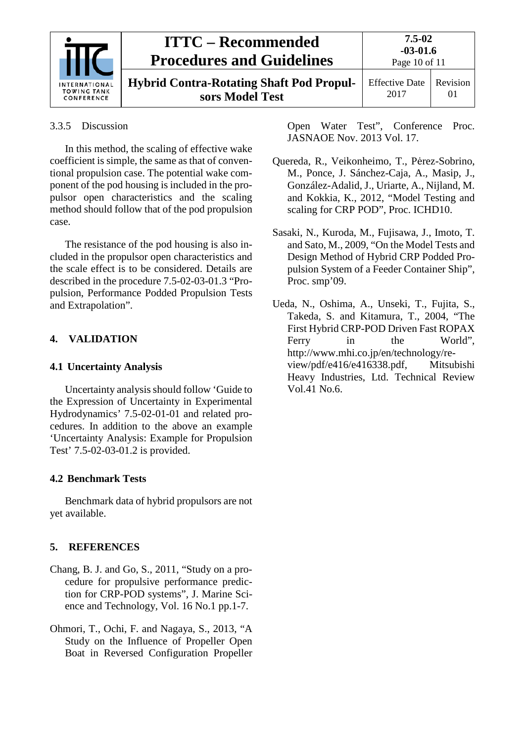

# **ITTC – Recommended Procedures and Guidelines**

**Hybrid Contra-Rotating Shaft Pod Propulsors Model Test**

Page 10 of 11 Effective Date

2017 Revision 01

### <span id="page-9-0"></span>3.3.5 Discussion

In this method, the scaling of effective wake coefficient is simple, the same as that of conventional propulsion case. The potential wake component of the pod housing is included in the propulsor open characteristics and the scaling method should follow that of the pod propulsion case.

The resistance of the pod housing is also included in the propulsor open characteristics and the scale effect is to be considered. Details are described in the procedure 7.5-02-03-01.3 "Propulsion, Performance Podded Propulsion Tests and Extrapolation".

# <span id="page-9-2"></span><span id="page-9-1"></span>**4. VALIDATION**

### **4.1 Uncertainty Analysis**

Uncertainty analysis should follow 'Guide to the Expression of Uncertainty in Experimental Hydrodynamics' 7.5-02-01-01 and related procedures. In addition to the above an example 'Uncertainty Analysis: Example for Propulsion Test' 7.5-02-03-01.2 is provided.

# <span id="page-9-3"></span>**4.2 Benchmark Tests**

Benchmark data of hybrid propulsors are not yet available.

# <span id="page-9-4"></span>**5. REFERENCES**

- Chang, B. J. and Go, S., 2011, "Study on a procedure for propulsive performance prediction for CRP-POD systems", J. Marine Science and Technology, Vol. 16 No.1 pp.1-7.
- Ohmori, T., Ochi, F. and Nagaya, S., 2013, "A Study on the Influence of Propeller Open Boat in Reversed Configuration Propeller

Open Water Test", Conference Proc. JASNAOE Nov. 2013 Vol. 17.

- Quereda, R., Veikonheimo, T., Pėrez-Sobrino, M., Ponce, J. Sánchez-Caja, A., Masip, J., González-Adalid, J., Uriarte, A., Nijland, M. and Kokkia, K., 2012, "Model Testing and scaling for CRP POD", Proc. ICHD10.
- Sasaki, N., Kuroda, M., Fujisawa, J., Imoto, T. and Sato, M., 2009, "On the Model Tests and Design Method of Hybrid CRP Podded Propulsion System of a Feeder Container Ship", Proc. smp'09.
- Ueda, N., Oshima, A., Unseki, T., Fujita, S., Takeda, S. and Kitamura, T., 2004, "The First Hybrid CRP-POD Driven Fast ROPAX Ferry in the World", http://www.mhi.co.jp/en/technology/review/pdf/e416/e416338.pdf, Mitsubishi Heavy Industries, Ltd. Technical Review Vol.41 No.6.